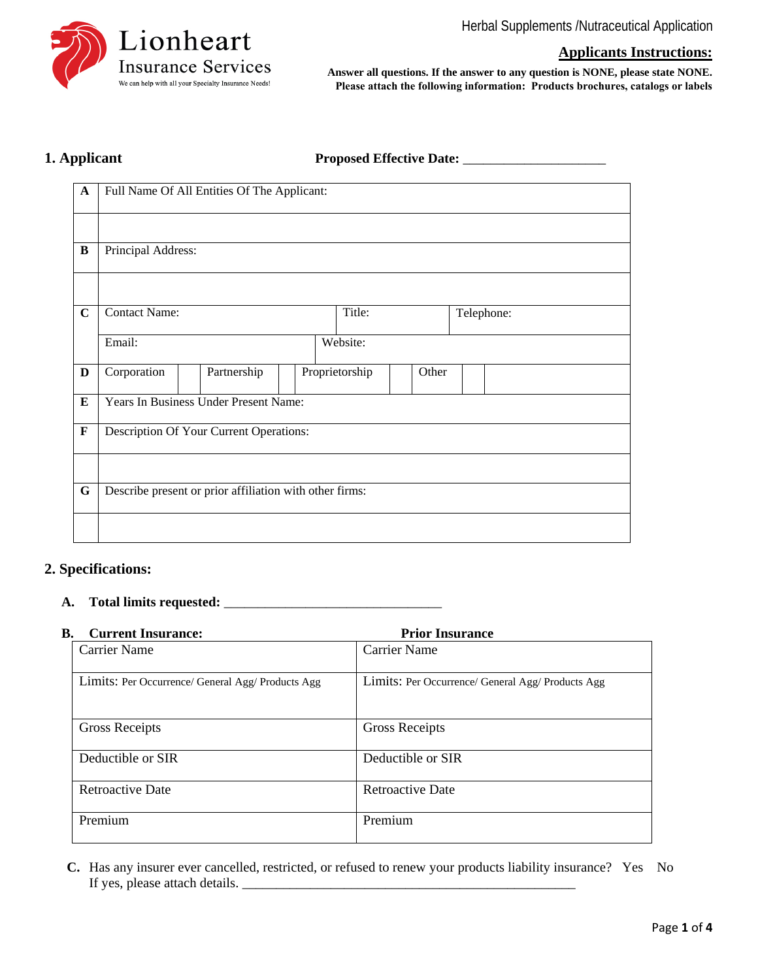

**Applicants Instructions:** 

**Answer all questions. If the answer to any question is NONE, please state NONE. Please attach the following information: Products brochures, catalogs or labels** 

# 1. Applicant

| <b>Proposed Effective Date:</b> |  |  |  |
|---------------------------------|--|--|--|
|---------------------------------|--|--|--|

| $\mathbf{A}$ | Full Name Of All Entities Of The Applicant:             |                                         |  |                |       |  |  |            |  |  |  |
|--------------|---------------------------------------------------------|-----------------------------------------|--|----------------|-------|--|--|------------|--|--|--|
|              |                                                         |                                         |  |                |       |  |  |            |  |  |  |
|              |                                                         |                                         |  |                |       |  |  |            |  |  |  |
| $\bf{B}$     | Principal Address:                                      |                                         |  |                |       |  |  |            |  |  |  |
|              |                                                         |                                         |  |                |       |  |  |            |  |  |  |
|              |                                                         |                                         |  |                |       |  |  |            |  |  |  |
|              |                                                         |                                         |  |                |       |  |  |            |  |  |  |
| $\mathbf C$  | <b>Contact Name:</b>                                    |                                         |  | Title:         |       |  |  | Telephone: |  |  |  |
|              |                                                         |                                         |  |                |       |  |  |            |  |  |  |
|              | Email:                                                  |                                         |  | Website:       |       |  |  |            |  |  |  |
|              |                                                         |                                         |  |                |       |  |  |            |  |  |  |
| $\mathbf D$  | Corporation                                             | Partnership                             |  | Proprietorship | Other |  |  |            |  |  |  |
|              |                                                         |                                         |  |                |       |  |  |            |  |  |  |
| ${\bf E}$    |                                                         | Years In Business Under Present Name:   |  |                |       |  |  |            |  |  |  |
|              |                                                         |                                         |  |                |       |  |  |            |  |  |  |
| $\mathbf F$  |                                                         | Description Of Your Current Operations: |  |                |       |  |  |            |  |  |  |
|              |                                                         |                                         |  |                |       |  |  |            |  |  |  |
|              |                                                         |                                         |  |                |       |  |  |            |  |  |  |
| $\mathbf G$  | Describe present or prior affiliation with other firms: |                                         |  |                |       |  |  |            |  |  |  |
|              |                                                         |                                         |  |                |       |  |  |            |  |  |  |
|              |                                                         |                                         |  |                |       |  |  |            |  |  |  |
|              |                                                         |                                         |  |                |       |  |  |            |  |  |  |

# **2. Specifications:**

#### **A. Total limits requested:** \_\_\_\_\_\_\_\_\_\_\_\_\_\_\_\_\_\_\_\_\_\_\_\_\_\_\_\_\_\_\_\_

### **B.** Current Insurance: **Prior Insurance**

| Cui i cht misul ance.                             | 11101 medicine                                    |
|---------------------------------------------------|---------------------------------------------------|
| <b>Carrier Name</b>                               | <b>Carrier Name</b>                               |
| Limits: Per Occurrence/ General Agg/ Products Agg | Limits: Per Occurrence/ General Agg/ Products Agg |
| <b>Gross Receipts</b>                             | <b>Gross Receipts</b>                             |
| Deductible or SIR                                 | Deductible or SIR                                 |
| <b>Retroactive Date</b>                           | <b>Retroactive Date</b>                           |
| Premium                                           | Premium                                           |

**C.** Has any insurer ever cancelled, restricted, or refused to renew your products liability insurance? Yes No If yes, please attach details. \_\_\_\_\_\_\_\_\_\_\_\_\_\_\_\_\_\_\_\_\_\_\_\_\_\_\_\_\_\_\_\_\_\_\_\_\_\_\_\_\_\_\_\_\_\_\_\_\_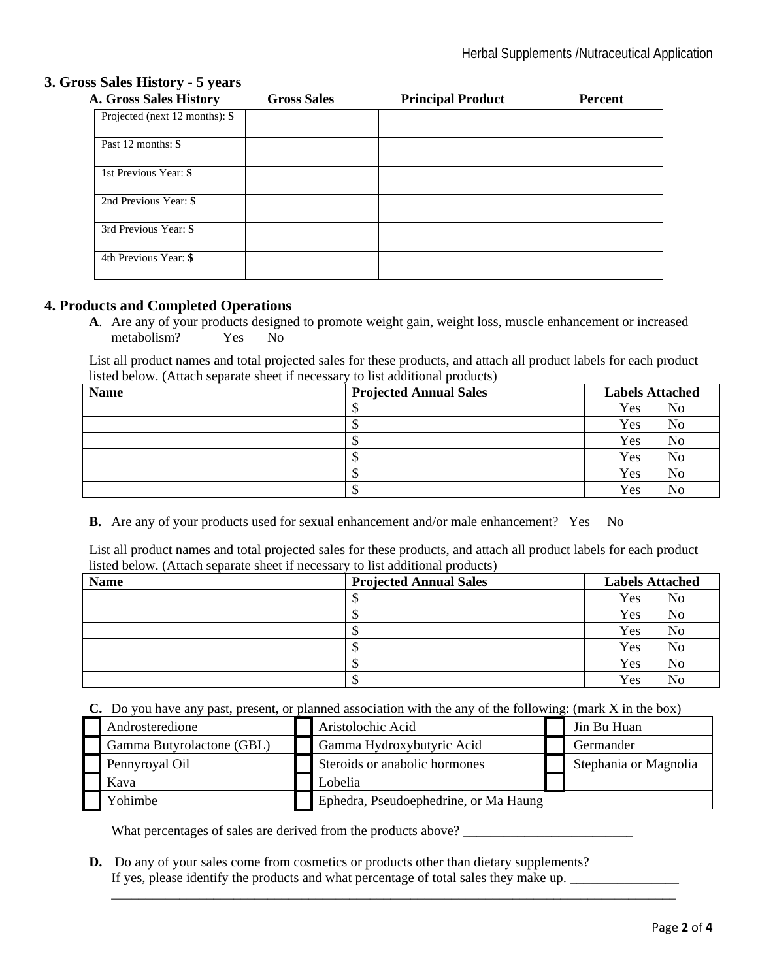# **3. Gross Sales History - 5 years**

| <b>A. Gross Sales History</b>     | <b>Gross Sales</b> | <b>Principal Product</b> | <b>Percent</b> |
|-----------------------------------|--------------------|--------------------------|----------------|
| Projected (next $12$ months): $\$ |                    |                          |                |
| Past 12 months: \$                |                    |                          |                |
| 1st Previous Year: \$             |                    |                          |                |
| 2nd Previous Year: \$             |                    |                          |                |
| 3rd Previous Year: \$             |                    |                          |                |
| 4th Previous Year: \$             |                    |                          |                |

### **4. Products and Completed Operations**

**A**. Are any of your products designed to promote weight gain, weight loss, muscle enhancement or increased metabolism? Yes No

List all product names and total projected sales for these products, and attach all product labels for each product listed below. (Attach separate sheet if necessary to list additional products)

| <b>Name</b> | <b>Projected Annual Sales</b> | <b>Labels Attached</b> |  |
|-------------|-------------------------------|------------------------|--|
|             |                               | Yes<br>No              |  |
|             | د ۱                           | Yes<br>No              |  |
|             |                               | Yes<br>No              |  |
|             |                               | Yes<br>No              |  |
|             |                               | Yes<br>No              |  |
|             |                               | Yes<br>No              |  |

**B.** Are any of your products used for sexual enhancement and/or male enhancement? Yes No

List all product names and total projected sales for these products, and attach all product labels for each product listed below. (Attach separate sheet if necessary to list additional products)

| <b>Name</b> | <b>Projected Annual Sales</b> | <b>Labels Attached</b> |
|-------------|-------------------------------|------------------------|
|             |                               | Yes<br>No              |
|             |                               | Yes<br>No              |
|             |                               | Yes<br>No              |
|             |                               | Yes<br>No              |
|             |                               | Yes<br>No              |
|             |                               | Yes<br>No              |

**C.** Do you have any past, present, or planned association with the any of the following: (mark X in the box)

| Androsteredione           | Aristolochic Acid                     | Jin Bu Huan           |
|---------------------------|---------------------------------------|-----------------------|
| Gamma Butyrolactone (GBL) | Gamma Hydroxybutyric Acid             | Germander             |
| Pennyroval Oil            | Steroids or anabolic hormones         | Stephania or Magnolia |
| Kava                      | Lobelia                               |                       |
| Yohimbe                   | Ephedra, Pseudoephedrine, or Ma Haung |                       |

\_\_\_\_\_\_\_\_\_\_\_\_\_\_\_\_\_\_\_\_\_\_\_\_\_\_\_\_\_\_\_\_\_\_\_\_\_\_\_\_\_\_\_\_\_\_\_\_\_\_\_\_\_\_\_\_\_\_\_\_\_\_\_\_\_\_\_\_\_\_\_\_\_\_\_\_\_\_\_\_\_\_\_

What percentages of sales are derived from the products above? \_\_\_\_\_\_\_\_\_\_\_\_\_\_\_\_\_\_\_\_\_\_\_\_\_

**D.** Do any of your sales come from cosmetics or products other than dietary supplements? If yes, please identify the products and what percentage of total sales they make up.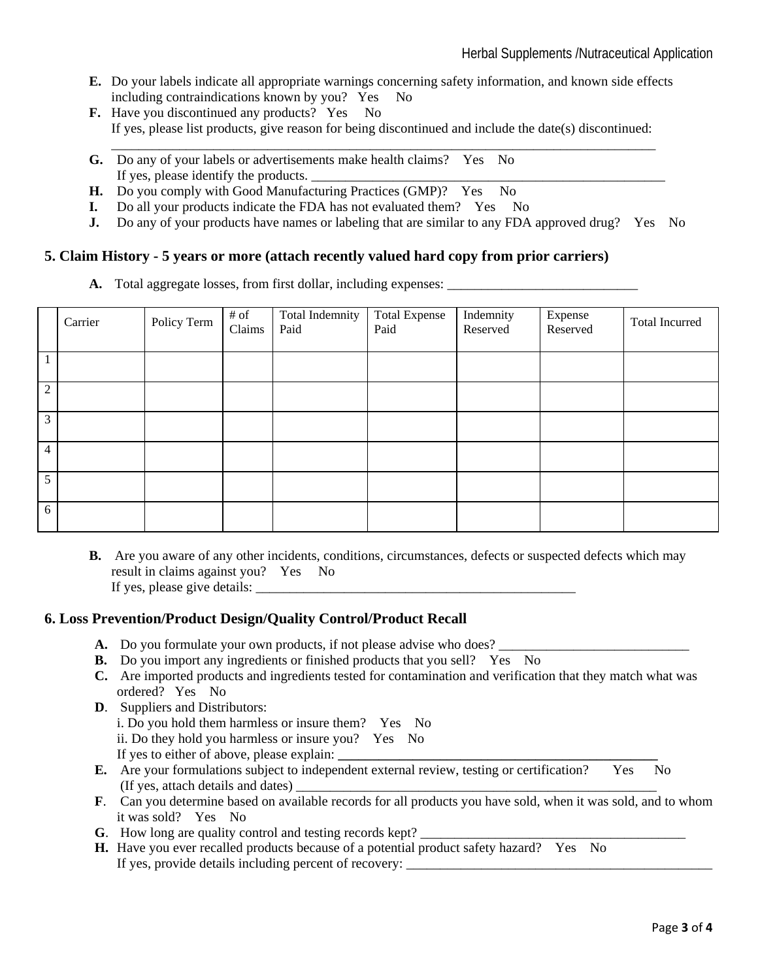- **E.** Do your labels indicate all appropriate warnings concerning safety information, and known side effects including contraindications known by you? Yes No
- **F.** Have you discontinued any products? Yes No If yes, please list products, give reason for being discontinued and include the date(s) discontinued:
- \_\_\_\_\_\_\_\_\_\_\_\_\_\_\_\_\_\_\_\_\_\_\_\_\_\_\_\_\_\_\_\_\_\_\_\_\_\_\_\_\_\_\_\_\_\_\_\_\_\_\_\_\_\_\_\_\_\_\_\_\_\_\_\_\_\_\_\_\_\_\_\_\_\_\_\_\_\_\_\_ **G.** Do any of your labels or advertisements make health claims? Yes No If yes, please identify the products.
- **H.** Do you comply with Good Manufacturing Practices (GMP)? Yes No
- **I.** Do all your products indicate the FDA has not evaluated them? Yes No
- **J.** Do any of your products have names or labeling that are similar to any FDA approved drug? Yes No

### **5. Claim History - 5 years or more (attach recently valued hard copy from prior carriers)**

**A.** Total aggregate losses, from first dollar, including expenses:

|                | Carrier | Policy Term | # of<br>Claims | Total Indemnity<br>Paid | <b>Total Expense</b><br>Paid | Indemnity<br>Reserved | Expense<br>Reserved | Total Incurred |
|----------------|---------|-------------|----------------|-------------------------|------------------------------|-----------------------|---------------------|----------------|
|                |         |             |                |                         |                              |                       |                     |                |
| $\overline{2}$ |         |             |                |                         |                              |                       |                     |                |
| 3              |         |             |                |                         |                              |                       |                     |                |
| $\overline{4}$ |         |             |                |                         |                              |                       |                     |                |
| 5              |         |             |                |                         |                              |                       |                     |                |
| 6              |         |             |                |                         |                              |                       |                     |                |

**B.** Are you aware of any other incidents, conditions, circumstances, defects or suspected defects which may result in claims against you? Yes No If yes, please give details:

### **6. Loss Prevention/Product Design/Quality Control/Product Recall**

- **A.** Do you formulate your own products, if not please advise who does?
- **B.** Do you import any ingredients or finished products that you sell? Yes No
- **C.** Are imported products and ingredients tested for contamination and verification that they match what was ordered? Yes No
- **D**. Suppliers and Distributors: i. Do you hold them harmless or insure them? Yes No ii. Do they hold you harmless or insure you? Yes No If yes to either of above, please explain:
- **E.** Are your formulations subject to independent external review, testing or certification? Yes No (If yes, attach details and dates)
- **F**. Can you determine based on available records for all products you have sold, when it was sold, and to whom it was sold? Yes No
- **G**. How long are quality control and testing records kept?
- **H.** Have you ever recalled products because of a potential product safety hazard? Yes No If yes, provide details including percent of recovery: \_\_\_\_\_\_\_\_\_\_\_\_\_\_\_\_\_\_\_\_\_\_\_\_\_\_\_\_\_\_\_\_\_\_\_\_\_\_\_\_\_\_\_\_\_